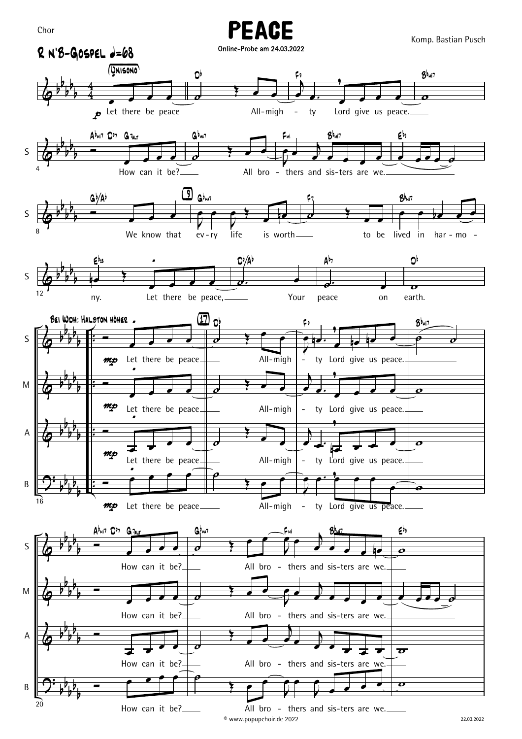Komp. Bastian Pusch